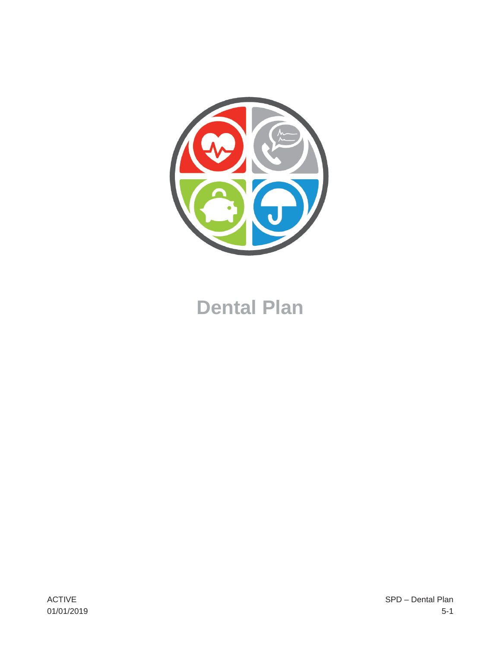

# **Dental Plan**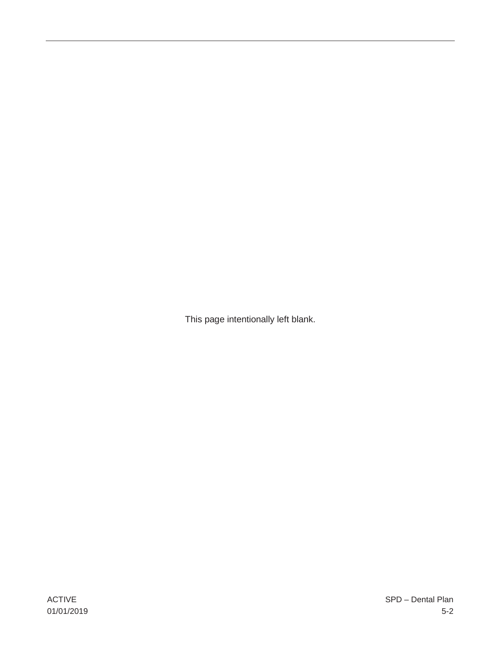This page intentionally left blank.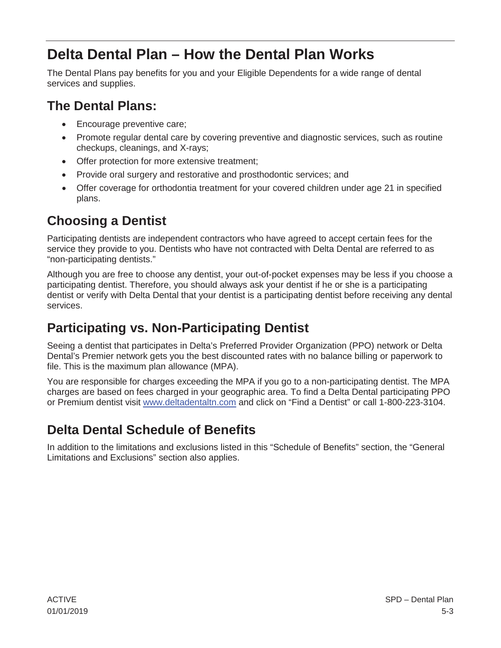# **Delta Dental Plan – How the Dental Plan Works**

The Dental Plans pay benefits for you and your Eligible Dependents for a wide range of dental services and supplies.

### **The Dental Plans:**

- Encourage preventive care;
- Promote regular dental care by covering preventive and diagnostic services, such as routine checkups, cleanings, and X-rays;
- Offer protection for more extensive treatment;
- Provide oral surgery and restorative and prosthodontic services; and
- Offer coverage for orthodontia treatment for your covered children under age 21 in specified plans.

### **Choosing a Dentist**

Participating dentists are independent contractors who have agreed to accept certain fees for the service they provide to you. Dentists who have not contracted with Delta Dental are referred to as "non-participating dentists."

Although you are free to choose any dentist, your out-of-pocket expenses may be less if you choose a participating dentist. Therefore, you should always ask your dentist if he or she is a participating dentist or verify with Delta Dental that your dentist is a participating dentist before receiving any dental services.

### **Participating vs. Non-Participating Dentist**

Seeing a dentist that participates in Delta's Preferred Provider Organization (PPO) network or Delta Dental's Premier network gets you the best discounted rates with no balance billing or paperwork to file. This is the maximum plan allowance (MPA).

You are responsible for charges exceeding the MPA if you go to a non-participating dentist. The MPA charges are based on fees charged in your geographic area. To find a Delta Dental participating PPO or Premium dentist visit www.deltadentaltn.com and click on "Find a Dentist" or call 1-800-223-3104.

# **Delta Dental Schedule of Benefits**

In addition to the limitations and exclusions listed in this "Schedule of Benefits" section, the "General Limitations and Exclusions" section also applies.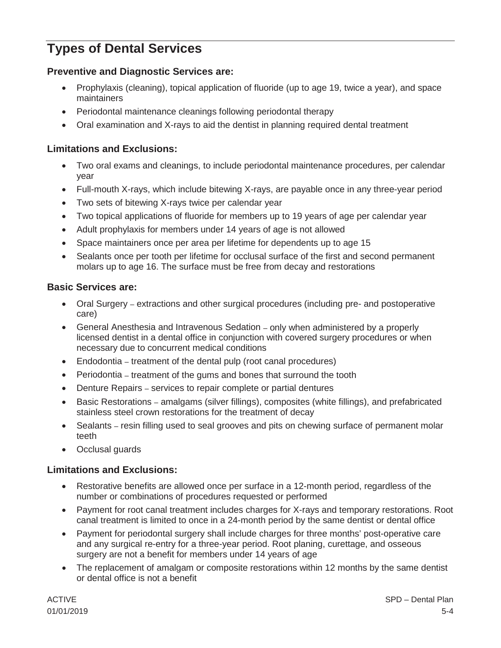### **Types of Dental Services**

#### **Preventive and Diagnostic Services are:**

- Prophylaxis (cleaning), topical application of fluoride (up to age 19, twice a year), and space maintainers
- x Periodontal maintenance cleanings following periodontal therapy
- Oral examination and X-rays to aid the dentist in planning required dental treatment

#### **Limitations and Exclusions:**

- Two oral exams and cleanings, to include periodontal maintenance procedures, per calendar year
- Full-mouth X-rays, which include bitewing X-rays, are payable once in any three-year period
- Two sets of bitewing X-rays twice per calendar year
- Two topical applications of fluoride for members up to 19 years of age per calendar year
- Adult prophylaxis for members under 14 years of age is not allowed
- Space maintainers once per area per lifetime for dependents up to age 15
- Sealants once per tooth per lifetime for occlusal surface of the first and second permanent molars up to age 16. The surface must be free from decay and restorations

#### **Basic Services are:**

- Oral Surgery extractions and other surgical procedures (including pre- and postoperative care)
- General Anesthesia and Intravenous Sedation only when administered by a properly licensed dentist in a dental office in conjunction with covered surgery procedures or when necessary due to concurrent medical conditions
- $\bullet$  Endodontia treatment of the dental pulp (root canal procedures)
- $\bullet$  Periodontia treatment of the gums and bones that surround the tooth
- Denture Repairs services to repair complete or partial dentures
- Basic Restorations amalgams (silver fillings), composites (white fillings), and prefabricated stainless steel crown restorations for the treatment of decay
- Sealants resin filling used to seal grooves and pits on chewing surface of permanent molar teeth
- Occlusal guards

#### **Limitations and Exclusions:**

- Restorative benefits are allowed once per surface in a 12-month period, regardless of the number or combinations of procedures requested or performed
- Payment for root canal treatment includes charges for X-rays and temporary restorations. Root canal treatment is limited to once in a 24-month period by the same dentist or dental office
- Payment for periodontal surgery shall include charges for three months' post-operative care and any surgical re-entry for a three-year period. Root planing, curettage, and osseous surgery are not a benefit for members under 14 years of age
- The replacement of amalgam or composite restorations within 12 months by the same dentist or dental office is not a benefit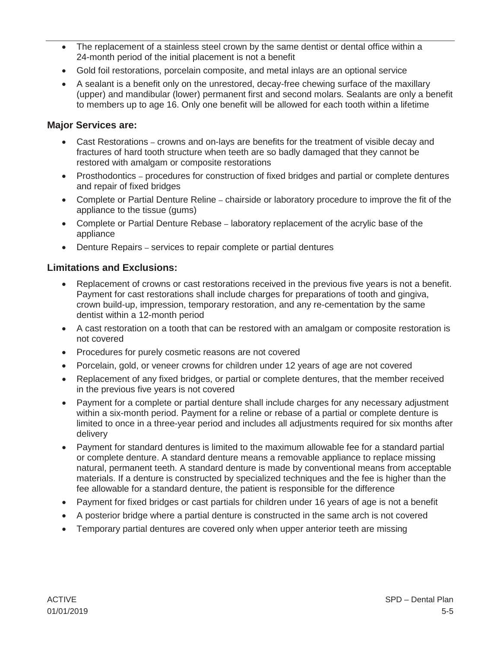- The replacement of a stainless steel crown by the same dentist or dental office within a 24-month period of the initial placement is not a benefit
- Gold foil restorations, porcelain composite, and metal inlays are an optional service
- A sealant is a benefit only on the unrestored, decay-free chewing surface of the maxillary (upper) and mandibular (lower) permanent first and second molars. Sealants are only a benefit to members up to age 16. Only one benefit will be allowed for each tooth within a lifetime

#### **Major Services are:**

- Cast Restorations crowns and on-lays are benefits for the treatment of visible decay and fractures of hard tooth structure when teeth are so badly damaged that they cannot be restored with amalgam or composite restorations
- Prosthodontics procedures for construction of fixed bridges and partial or complete dentures and repair of fixed bridges
- Complete or Partial Denture Reline chairside or laboratory procedure to improve the fit of the appliance to the tissue (gums)
- Complete or Partial Denture Rebase laboratory replacement of the acrylic base of the appliance
- Denture Repairs services to repair complete or partial dentures

#### **Limitations and Exclusions:**

- Replacement of crowns or cast restorations received in the previous five years is not a benefit. Payment for cast restorations shall include charges for preparations of tooth and gingiva, crown build-up, impression, temporary restoration, and any re-cementation by the same dentist within a 12-month period
- A cast restoration on a tooth that can be restored with an amalgam or composite restoration is not covered
- Procedures for purely cosmetic reasons are not covered
- Porcelain, gold, or veneer crowns for children under 12 years of age are not covered
- Replacement of any fixed bridges, or partial or complete dentures, that the member received in the previous five years is not covered
- Payment for a complete or partial denture shall include charges for any necessary adjustment within a six-month period. Payment for a reline or rebase of a partial or complete denture is limited to once in a three-year period and includes all adjustments required for six months after delivery
- Payment for standard dentures is limited to the maximum allowable fee for a standard partial or complete denture. A standard denture means a removable appliance to replace missing natural, permanent teeth. A standard denture is made by conventional means from acceptable materials. If a denture is constructed by specialized techniques and the fee is higher than the fee allowable for a standard denture, the patient is responsible for the difference
- Payment for fixed bridges or cast partials for children under 16 years of age is not a benefit
- A posterior bridge where a partial denture is constructed in the same arch is not covered
- Temporary partial dentures are covered only when upper anterior teeth are missing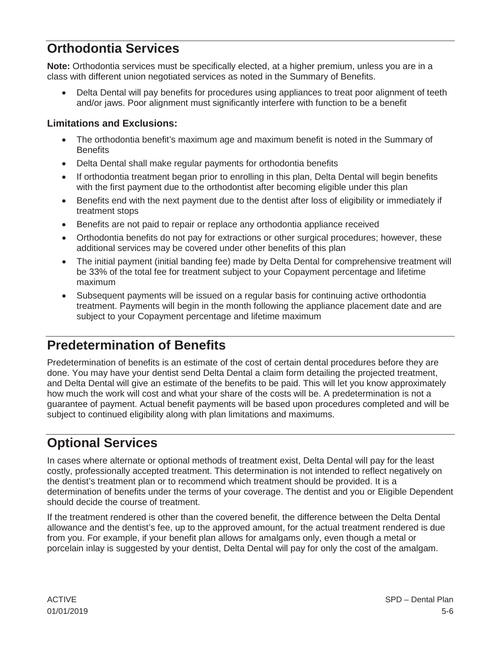### **Orthodontia Services**

**Note:** Orthodontia services must be specifically elected, at a higher premium, unless you are in a class with different union negotiated services as noted in the Summary of Benefits.

• Delta Dental will pay benefits for procedures using appliances to treat poor alignment of teeth and/or jaws. Poor alignment must significantly interfere with function to be a benefit

#### **Limitations and Exclusions:**

- The orthodontia benefit's maximum age and maximum benefit is noted in the Summary of **Benefits**
- Delta Dental shall make regular payments for orthodontia benefits
- If orthodontia treatment began prior to enrolling in this plan, Delta Dental will begin benefits with the first payment due to the orthodontist after becoming eligible under this plan
- Benefits end with the next payment due to the dentist after loss of eligibility or immediately if treatment stops
- Benefits are not paid to repair or replace any orthodontia appliance received
- Orthodontia benefits do not pay for extractions or other surgical procedures; however, these additional services may be covered under other benefits of this plan
- The initial payment (initial banding fee) made by Delta Dental for comprehensive treatment will be 33% of the total fee for treatment subject to your Copayment percentage and lifetime maximum
- Subsequent payments will be issued on a regular basis for continuing active orthodontia treatment. Payments will begin in the month following the appliance placement date and are subject to your Copayment percentage and lifetime maximum

### **Predetermination of Benefits**

Predetermination of benefits is an estimate of the cost of certain dental procedures before they are done. You may have your dentist send Delta Dental a claim form detailing the projected treatment, and Delta Dental will give an estimate of the benefits to be paid. This will let you know approximately how much the work will cost and what your share of the costs will be. A predetermination is not a guarantee of payment. Actual benefit payments will be based upon procedures completed and will be subject to continued eligibility along with plan limitations and maximums.

### **Optional Services**

In cases where alternate or optional methods of treatment exist, Delta Dental will pay for the least costly, professionally accepted treatment. This determination is not intended to reflect negatively on the dentist's treatment plan or to recommend which treatment should be provided. It is a determination of benefits under the terms of your coverage. The dentist and you or Eligible Dependent should decide the course of treatment.

If the treatment rendered is other than the covered benefit, the difference between the Delta Dental allowance and the dentist's fee, up to the approved amount, for the actual treatment rendered is due from you. For example, if your benefit plan allows for amalgams only, even though a metal or porcelain inlay is suggested by your dentist, Delta Dental will pay for only the cost of the amalgam.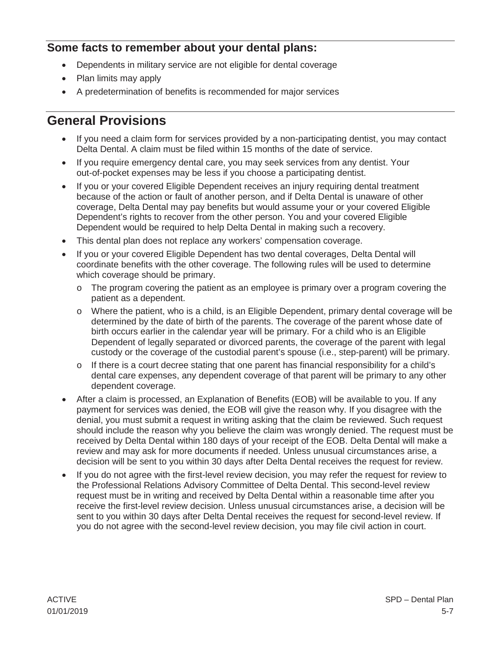### **Some facts to remember about your dental plans:**

- Dependents in military service are not eligible for dental coverage
- $\bullet$  Plan limits may apply
- A predetermination of benefits is recommended for major services

### **General Provisions**

- If you need a claim form for services provided by a non-participating dentist, you may contact Delta Dental. A claim must be filed within 15 months of the date of service.
- If you require emergency dental care, you may seek services from any dentist. Your out-of-pocket expenses may be less if you choose a participating dentist.
- If you or your covered Eligible Dependent receives an injury requiring dental treatment because of the action or fault of another person, and if Delta Dental is unaware of other coverage, Delta Dental may pay benefits but would assume your or your covered Eligible Dependent's rights to recover from the other person. You and your covered Eligible Dependent would be required to help Delta Dental in making such a recovery.
- This dental plan does not replace any workers' compensation coverage.
- If you or your covered Eligible Dependent has two dental coverages, Delta Dental will coordinate benefits with the other coverage. The following rules will be used to determine which coverage should be primary.
	- o The program covering the patient as an employee is primary over a program covering the patient as a dependent.
	- o Where the patient, who is a child, is an Eligible Dependent, primary dental coverage will be determined by the date of birth of the parents. The coverage of the parent whose date of birth occurs earlier in the calendar year will be primary. For a child who is an Eligible Dependent of legally separated or divorced parents, the coverage of the parent with legal custody or the coverage of the custodial parent's spouse (i.e., step-parent) will be primary.
	- o If there is a court decree stating that one parent has financial responsibility for a child's dental care expenses, any dependent coverage of that parent will be primary to any other dependent coverage.
- After a claim is processed, an Explanation of Benefits (EOB) will be available to you. If any payment for services was denied, the EOB will give the reason why. If you disagree with the denial, you must submit a request in writing asking that the claim be reviewed. Such request should include the reason why you believe the claim was wrongly denied. The request must be received by Delta Dental within 180 days of your receipt of the EOB. Delta Dental will make a review and may ask for more documents if needed. Unless unusual circumstances arise, a decision will be sent to you within 30 days after Delta Dental receives the request for review.
- If you do not agree with the first-level review decision, you may refer the request for review to the Professional Relations Advisory Committee of Delta Dental. This second-level review request must be in writing and received by Delta Dental within a reasonable time after you receive the first-level review decision. Unless unusual circumstances arise, a decision will be sent to you within 30 days after Delta Dental receives the request for second-level review. If you do not agree with the second-level review decision, you may file civil action in court.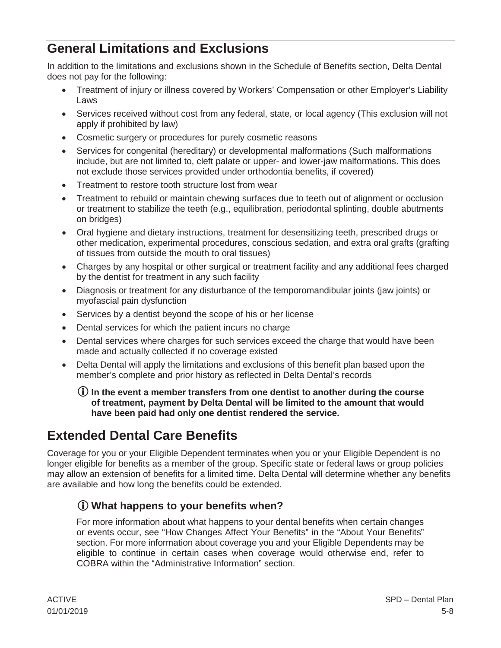### **General Limitations and Exclusions**

In addition to the limitations and exclusions shown in the Schedule of Benefits section, Delta Dental does not pay for the following:

- Treatment of injury or illness covered by Workers' Compensation or other Employer's Liability Laws
- Services received without cost from any federal, state, or local agency (This exclusion will not apply if prohibited by law)
- Cosmetic surgery or procedures for purely cosmetic reasons
- Services for congenital (hereditary) or developmental malformations (Such malformations include, but are not limited to, cleft palate or upper- and lower-jaw malformations. This does not exclude those services provided under orthodontia benefits, if covered)
- Treatment to restore tooth structure lost from wear
- x Treatment to rebuild or maintain chewing surfaces due to teeth out of alignment or occlusion or treatment to stabilize the teeth (e.g., equilibration, periodontal splinting, double abutments on bridges)
- Oral hygiene and dietary instructions, treatment for desensitizing teeth, prescribed drugs or other medication, experimental procedures, conscious sedation, and extra oral grafts (grafting of tissues from outside the mouth to oral tissues)
- Charges by any hospital or other surgical or treatment facility and any additional fees charged by the dentist for treatment in any such facility
- Diagnosis or treatment for any disturbance of the temporomandibular joints (jaw joints) or myofascial pain dysfunction
- Services by a dentist beyond the scope of his or her license
- Dental services for which the patient incurs no charge
- Dental services where charges for such services exceed the charge that would have been made and actually collected if no coverage existed
- Delta Dental will apply the limitations and exclusions of this benefit plan based upon the member's complete and prior history as reflected in Delta Dental's records

L**In the event a member transfers from one dentist to another during the course of treatment, payment by Delta Dental will be limited to the amount that would have been paid had only one dentist rendered the service.**

### **Extended Dental Care Benefits**

Coverage for you or your Eligible Dependent terminates when you or your Eligible Dependent is no longer eligible for benefits as a member of the group. Specific state or federal laws or group policies may allow an extension of benefits for a limited time. Delta Dental will determine whether any benefits are available and how long the benefits could be extended.

### L**What happens to your benefits when?**

For more information about what happens to your dental benefits when certain changes or events occur, see "How Changes Affect Your Benefits" in the "About Your Benefits" section. For more information about coverage you and your Eligible Dependents may be eligible to continue in certain cases when coverage would otherwise end, refer to COBRA within the "Administrative Information" section.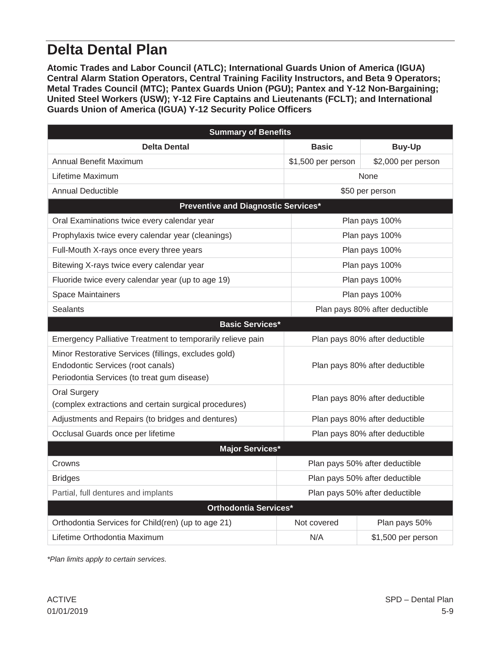# **Delta Dental Plan**

**Atomic Trades and Labor Council (ATLC); International Guards Union of America (IGUA) Central Alarm Station Operators, Central Training Facility Instructors, and Beta 9 Operators; Metal Trades Council (MTC); Pantex Guards Union (PGU); Pantex and Y-12 Non-Bargaining; United Steel Workers (USW); Y-12 Fire Captains and Lieutenants (FCLT); and International Guards Union of America (IGUA) Y-12 Security Police Officers**

| <b>Summary of Benefits</b>                                                                |                                |                                |  |
|-------------------------------------------------------------------------------------------|--------------------------------|--------------------------------|--|
| <b>Delta Dental</b>                                                                       | <b>Basic</b>                   | <b>Buy-Up</b>                  |  |
| Annual Benefit Maximum                                                                    | \$1,500 per person             | \$2,000 per person             |  |
| Lifetime Maximum                                                                          | None                           |                                |  |
| Annual Deductible                                                                         | \$50 per person                |                                |  |
| <b>Preventive and Diagnostic Services*</b>                                                |                                |                                |  |
| Oral Examinations twice every calendar year                                               |                                | Plan pays 100%                 |  |
| Prophylaxis twice every calendar year (cleanings)                                         |                                | Plan pays 100%                 |  |
| Full-Mouth X-rays once every three years                                                  |                                | Plan pays 100%                 |  |
| Bitewing X-rays twice every calendar year                                                 | Plan pays 100%                 |                                |  |
| Fluoride twice every calendar year (up to age 19)                                         |                                | Plan pays 100%                 |  |
| <b>Space Maintainers</b>                                                                  | Plan pays 100%                 |                                |  |
| <b>Sealants</b>                                                                           | Plan pays 80% after deductible |                                |  |
| <b>Basic Services*</b>                                                                    |                                |                                |  |
| Emergency Palliative Treatment to temporarily relieve pain                                |                                | Plan pays 80% after deductible |  |
| Minor Restorative Services (fillings, excludes gold)<br>Endodontic Services (root canals) | Plan pays 80% after deductible |                                |  |
| Periodontia Services (to treat gum disease)                                               |                                |                                |  |
| <b>Oral Surgery</b>                                                                       |                                |                                |  |
| (complex extractions and certain surgical procedures)                                     | Plan pays 80% after deductible |                                |  |
| Adjustments and Repairs (to bridges and dentures)                                         | Plan pays 80% after deductible |                                |  |
| Occlusal Guards once per lifetime                                                         | Plan pays 80% after deductible |                                |  |
| <b>Major Services*</b>                                                                    |                                |                                |  |
| Crowns                                                                                    | Plan pays 50% after deductible |                                |  |
| <b>Bridges</b>                                                                            | Plan pays 50% after deductible |                                |  |
| Partial, full dentures and implants                                                       | Plan pays 50% after deductible |                                |  |
| Orthodontia Services*                                                                     |                                |                                |  |
| Orthodontia Services for Child(ren) (up to age 21)                                        | Not covered                    | Plan pays 50%                  |  |
| Lifetime Orthodontia Maximum                                                              | N/A                            | \$1,500 per person             |  |

*\*Plan limits apply to certain services.*